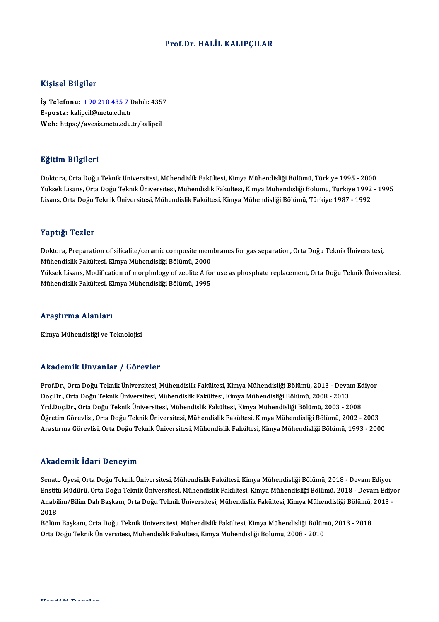### Prof.Dr.HALİL KALIPÇILAR

### Kişisel Bilgiler

Kişisel Bilgiler<br>İş Telefonu: <u>+90 210 435 7</u> Dahili: 4357<br>E nosta: kalingil@metu edu.tr 11131001 D1151101<br>İş Telefonu: <u>+90 210 435 7</u> I<br>E-posta: kali[pcil@metu.edu.t](tel:+90 210 435 7)r<br>Web: https://avesis.metu.edu.tr İş Telefonu: <u>+90 210 435 7</u> Dahili: 435<br>E-posta: kalipcil@metu.edu.tr<br>Web: https://avesis.metu.edu.tr/kalipcil Web: https://avesis.metu.edu.tr/kalipcil<br>Eğitim Bilgileri

Doktora,OrtaDoğuTeknikÜniversitesi,MühendislikFakültesi,KimyaMühendisliğiBölümü,Türkiye 1995 -2000 25.<br>1998- Doktora, Orta Doğu Teknik Üniversitesi, Mühendislik Fakültesi, Kimya Mühendisliği Bölümü, Türkiye 1995<br>1990- Orta Doğu Teknik Üniversitesi, Mühendislik Fakültesi, Kimya Mühendisliği Bölümü, Türkiye 1992 - 1995<br>Li Doktora, Orta Doğu Teknik Üniversitesi, Mühendislik Fakültesi, Kimya Mühendisliği Bölümü, Türkiye 1995 - 200<br>Yüksek Lisans, Orta Doğu Teknik Üniversitesi, Mühendislik Fakültesi, Kimya Mühendisliği Bölümü, Türkiye 1992<br>Lisa Lisans, Orta Doğu Teknik Üniversitesi, Mühendislik Fakültesi, Kimya Mühendisliği Bölümü, Türkiye 1987 - 1992<br>Yaptığı Tezler

Doktora, Preparation of silicalite/ceramic composite membranes for gas separation, Orta Doğu Teknik Üniversitesi, 1 apesar 1 02101<br>Doktora, Preparation of silicalite/ceramic composite mem<br>Mühendislik Fakültesi, Kimya Mühendisliği Bölümü, 2000<br>Vülteel: Lisans, Medifisation of mernhelegu of seelite A fo Yüksek Lisans, Modification of morphology of zeolite A for use as phosphate replacement, Orta Doğu Teknik Üniversitesi,<br>Mühendislik Fakültesi, Kimya Mühendisliği Bölümü, 1995 Mühendislik Fakültesi, Kimya Mühendisliği Bölümü, 2000<br>Yüksek Lisans, Modification of morphology of zeolite A foı<br>Mühendislik Fakültesi, Kimya Mühendisliği Bölümü, 1995

#### Araştırma Alanları

Kimya Mühendisliği ve Teknolojisi

### Akademik Unvanlar / Görevler

Prof.Dr., Orta Doğu Teknik Üniversitesi, Mühendislik Fakültesi, Kimya Mühendisliği Bölümü, 2013 - Devam Ediyor Doç.Dr.,OrtaDoğuTeknikÜniversitesi,MühendislikFakültesi,KimyaMühendisliğiBölümü,2008 -2013 Prof.Dr., Orta Doğu Teknik Üniversitesi, Mühendislik Fakültesi, Kimya Mühendisliği Bölümü, 2013 - Devam Ec<br>Doç.Dr., Orta Doğu Teknik Üniversitesi, Mühendislik Fakültesi, Kimya Mühendisliği Bölümü, 2008 - 2013<br>Yrd.Doç.Dr., Doç.Dr., Orta Doğu Teknik Üniversitesi, Mühendislik Fakültesi, Kimya Mühendisliği Bölümü, 2008 - 2013<br>Yrd.Doç.Dr., Orta Doğu Teknik Üniversitesi, Mühendislik Fakültesi, Kimya Mühendisliği Bölümü, 2003 - 2008<br>Öğretim Görevl Yrd.Doç.Dr., Orta Doğu Teknik Üniversitesi, Mühendislik Fakültesi, Kimya Mühendisliği Bölümü, 2003 - 2008<br>Öğretim Görevlisi, Orta Doğu Teknik Üniversitesi, Mühendislik Fakültesi, Kimya Mühendisliği Bölümü, 2002 - 2003<br>Araş Araştırma Görevlisi, Orta Doğu Teknik Üniversitesi, Mühendislik Fakültesi, Kimya Mühendisliği Bölümü, 1993 - 2000<br>Akademik İdari Deneyim

Senato Üyesi, Orta Doğu Teknik Üniversitesi, Mühendislik Fakültesi, Kimya Mühendisliği Bölümü, 2018 - Devam Ediyor Enstat Sinni Faur F Deney mi<br>Senato Üyesi, Orta Doğu Teknik Üniversitesi, Mühendislik Fakültesi, Kimya Mühendisliği Bölümü, 2018 - Devam Ediyor<br>Anabilim (Bilim Dolı Baskanı, Orta Doğu Teknik Üniversitesi, Mühendislik Fakül Senato Üyesi, Orta Doğu Teknik Üniversitesi, Mühendislik Fakültesi, Kimya Mühendisliği Bölümü, 2018 - Devam Ediyor<br>Enstitü Müdürü, Orta Doğu Teknik Üniversitesi, Mühendislik Fakültesi, Kimya Mühendisliği Bölümü, 2018 - Dev Enstit<mark>t</mark><br>Anabi<br>2018<br>Pälüm Anabilim/Bilim Dalı Başkanı, Orta Doğu Teknik Üniversitesi, Mühendislik Fakültesi, Kimya Mühendisliği Bölümü,<br>2018<br>Bölüm Başkanı, Orta Doğu Teknik Üniversitesi, Mühendislik Fakültesi, Kimya Mühendisliği Bölümü, 2013 - 2018

2018<br>Bölüm Başkanı, Orta Doğu Teknik Üniversitesi, Mühendislik Fakültesi, Kimya Mühendisliği Bölüm<br>Orta Doğu Teknik Üniversitesi, Mühendislik Fakültesi, Kimya Mühendisliği Bölümü, 2008 - 2010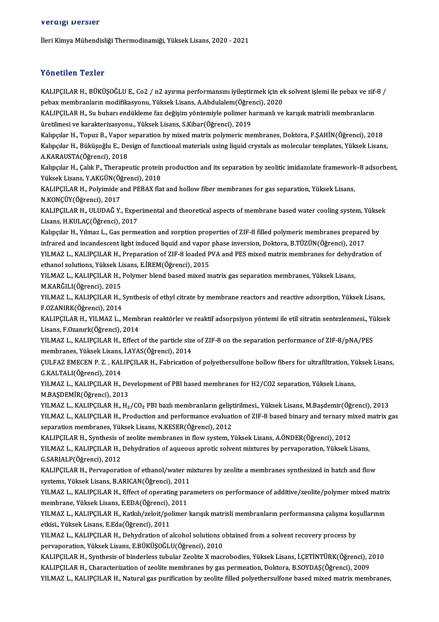#### veraigi Dersler

İleri Kimya Mühendisliği Thermodinamiği, Yüksek Lisans, 2020 - 2021

### Yönetilen Tezler

Yönetilen Tezler<br>KALIPÇILAR H., BÜKÜŞOĞLU E., Co2 / n2 ayırma performansını iyileştirmek için ek solvent işlemi ile pebax ve zif-8 /<br>Pebay membranların medifilizeyeny, Yülsek Lisans, A Abdulalam(Öğrensi), 2020 pebaxmembranlarınmodifikasyonu, Yüksek Lisans, A.Abdulalem(Öğrenci), 2020<br>pebax membranların modifikasyonu, Yüksek Lisans, A.Abdulalem(Öğrenci), 2020<br>KALIPCU AR H. Su bubarı ondüldeme far değisim vöntemiyle pelimer bermanl KALIPÇILAR H., BÜKÜŞOĞLU E., Co2 / n2 ayırma performansını iyileştirmek için ek solvent işlemi ile pebax ve zif-<br>pebax membranların modifikasyonu, Yüksek Lisans, A.Abdulalem(Öğrenci), 2020<br>KALIPÇILAR H., Su buharı endüklem pebax membranların modifikasyonu, Yüksek Lisans, A.Abdulalem(Öğrenci), 2020<br>KALIPÇILAR H., Su buharı endükleme faz değişim yöntemiyle polimer harmanlı ve karışık matrisli membranların<br>üretilmesi ve karakterizasyonu., Yükse Kalıpçılar H., Topuz B., Vapor separation by mixed matrix polymeric membranes, Doktora, F.SAHİN(Öğrenci), 2018 üretilmesi ve karakterizasyonu., Yüksek Lisans, S.Kibar(Öğrenci), 2019<br>Kalıpçılar H., Topuz B., Vapor separation by mixed matrix polymeric membranes, Doktora, F.ŞAHİN(Öğrenci), 2018<br>Kalıpçılar H., Büküşoğlu E., Design of f Kalıpçılar H., Topuz B., Vapor<br>Kalıpçılar H., Büküşoğlu E., De<br>A.KARAUSTA(Öğrenci), 2018<br>Kalıpçılar H. Calık B. Therane Kalıpçılar H., Büküşoğlu E., Design of functional materials using liquid crystals as molecular templates, Yüksek Lisans,<br>A.KARAUSTA(Öğrenci), 2018<br>Kalıpçılar H., Çalık P., Therapeutic protein production and its separation A.KARAUSTA(Öğrenci), 2018<br>Kalıpçılar H., Çalık P., Therapeutic protein production and its separation by zeolitic imidazolate framework–8 adsorbent,<br>Yüksek Lisans, Y.AKGÜN(Öğrenci), 2018 Kalıpçılar H., Çalık P., Therapeutic protein production and its separation by zeolitic imidazolate framework<br>Yüksek Lisans, Y.AKGÜN(Öğrenci), 2018<br>KALIPÇILAR H., Polyimide and PEBAX flat and hollow fiber membranes for gas Yüksek Lisans, Y.AKGÜN(Öğ<br>KALIPÇILAR H., Polyimide a<br>N.KONÇÜY(Öğrenci), 2017<br>KALIPCILAR H., IILIIDAĞ V KALIPÇILAR H., Polyimide and PEBAX flat and hollow fiber membranes for gas separation, Yüksek Lisans,<br>N.KONÇÜY(Öğrenci), 2017<br>KALIPÇILAR H., ULUDAĞ Y., Experimental and theoretical aspects of membrane based water cooling s N.KONÇÜY(Öğrenci), 2017<br>KALIPÇILAR H., ULUDAĞ Y., Expe<br>Lisans, H.KULAÇ(Öğrenci), 2017<br>Kalıngılar H., Yılmaz L. Cas narma KALIPÇILAR H., ULUDAĞ Y., Experimental and theoretical aspects of membrane based water cooling system, Yükse<br>Lisans, H.KULAÇ(Öğrenci), 2017<br>Kalıpçılar H., Yılmaz L., Gas permeation and sorption properties of ZIF-8 filled p Lisans, H.KULAÇ(Öğrenci), 2017<br>Kalıpçılar H., Yılmaz L., Gas permeation and sorption properties of ZIF-8 filled polymeric membranes prepared by<br>infrared and incandescent light induced liquid and vapor phase inversion, Dokt Kalıpçılar H., Yılmaz L., Gas permeation and sorption properties of ZIF-8 filled polymeric membranes prepared by<br>infrared and incandescent light induced liquid and vapor phase inversion, Doktora, B.TÜZÜN(Öğrenci), 2017<br>YIL infrared and incandescent light induced liquid and vapor<br>YILMAZ L., KALIPÇILAR H., Preparation of ZIF-8 loaded P<br>ethanol solutions, Yüksek Lisans, E.İREM(Öğrenci), 2015<br>YU MAZ L. KALIPCU AB H., Bokumar bland based miyod m YILMAZ L., KALIPÇILAR H., Preparation of ZIF-8 loaded PVA and PES mixed matrix membranes for dehyd:<br>ethanol solutions, Yüksek Lisans, E.İREM(Öğrenci), 2015<br>YILMAZ L., KALIPÇILAR H., Polymer blend based mixed matrix gas sep ethanol solutions, Yüksek Lisans, E.İREM(Öğrenci), 2015<br>YILMAZ L., KALIPÇILAR H., Polymer blend based mixed matrix gas separation membranes, Yüksek Lisans,<br>M.KARĞILI(Öğrenci), 2015 YILMAZ L., KALIPÇILAR H., Polymer blend based mixed matrix gas separation membranes, Yüksek Lisans,<br>M.KARĞILI(Öğrenci), 2015<br>YILMAZ L., KALIPÇILAR H., Synthesis of ethyl citrate by membrane reactors and reactive adsorption M.KARĞILI(Öğrenci), 2015<br>YILMAZ L., KALIPÇILAR H., S<br>F.OZANIRK(Öğrenci), 2014<br>KALIPCU AR H. YILMAZ L. J YILMAZ L., KALIPÇILAR H., Synthesis of ethyl citrate by membrane reactors and reactive adsorption, Yüksek Lisans,<br>F.OZANIRK(Öğrenci), 2014<br>KALIPÇILAR H., YILMAZ L., Membran reaktörler ve reaktif adsorpsiyon yöntemi ile eti F.OZANIRK(Öğrenci), 2014<br>KALIPÇILAR H., YILMAZ L., Memb<br>Lisans, F.Ozanırk(Öğrenci), 2014<br>YU MAZ L., KALIPCU AR H., Effect KALIPÇILAR H., YILMAZ L., Membran reaktörler ve reaktif adsorpsiyon yöntemi ile etil sitratin sentezlenmesi., Yi<br>Lisans, F.Ozanırk(Öğrenci), 2014<br>YILMAZ L., KALIPÇILAR H., Effect of the particle size of ZIF-8 on the separa Lisans, F.Ozanırk(Öğrenci), 2014<br>YILMAZ L., KALIPÇILAR H., Effect of the particle size<br>membranes, Yüksek Lisans, İ.AYAS(Öğrenci), 2014<br>CULEAZ EMECEN B. Z., KALIPCU AB H. Eshrisation YILMAZ L., KALIPÇILAR H., Effect of the particle size of ZIF-8 on the separation performance of ZIF-8/pNA/PES<br>membranes, Yüksek Lisans, İ.AYAS(Öğrenci), 2014<br>ÇULFAZ EMECEN P. Z. , KALIPÇILAR H., Fabrication of polyethersul membranes, Yüksek Lisans,<br>ÇULFAZ EMECEN P. Z. , KAL<br>G.KALTALI(Öğrenci), 2014<br>YU MAZ L. KALIPCU AB H CULFAZ EMECEN P. Z. , KALIPÇILAR H., Fabrication of polyethersulfone hollow fibers for ultrafiltration, Yü<br>G.KALTALI(Öğrenci), 2014<br>YILMAZ L., KALIPÇILAR H., Development of PBI based membranes for H2/CO2 separation, Yüksek G.KALTALI(Öğrenci), 2014<br>YILMAZ L., KALIPÇILAR H., Development of PBI based membranes for H2/CO2 separation, Yüksek Lisans,<br>M.BAŞDEMİR(Öğrenci), 2013 YILMAZ L., KALIPÇILAR H., H2/CO2 PBI bazlı membranların geliştirilmesi., Yüksek Lisans, M.Başdemir(Öğrenci), 2013 M.BAŞDEMİR(Öğrenci), 2013<br>YILMAZ L., KALIPÇILAR H., H<sub>2</sub>/CO<sub>2</sub> PBI bazlı membranların geliştirilmesi., Yüksek Lisans, M.Başdemir(Öğrenci), 2013<br>YILMAZ L., KALIPÇILAR H., Production and performance evaluation of ZIF-8 based YILMAZ L., KALIPÇILAR H., H<sub>2</sub>/CO<sub>2</sub> PBI bazlı membranların gelişt<br>YILMAZ L., KALIPÇILAR H., Production and performance evaluati<br>separation membranes, Yüksek Lisans, N.KESER(Öğrenci), 2012<br>KALIPCU AP H. Symthesis of Feolit YILMAZ L., KALIPÇILAR H., Production and performance evaluation of ZIF-8 based binary and ternary m<br>separation membranes, Yüksek Lisans, N.KESER(Öğrenci), 2012<br>KALIPÇILAR H., Synthesis of zeolite membranes in flow system, separation membranes, Yüksek Lisans, N.KESER(Öğrenci), 2012<br>KALIPÇILAR H., Synthesis of zeolite membranes in flow system, Yüksek Lisans, A.ÖNDER(Öğrenci), 2012<br>YILMAZ L., KALIPÇILAR H., Dehydration of aqueous aprotic solve KALIPÇILAR H., Synthesis of zeolite membranes in flow system, Yüksek Lisans, A.ÖNDER(Öğrenci), 2012<br>YILMAZ L., KALIPÇILAR H., Dehydration of aqueous aprotic solvent mixtures by pervaporation, Yüksek Lisans,<br>G.SARIALP(Öğren YILMAZ L., KALIPÇILAR H., Dehydration of aqueous aprotic solvent mixtures by pervaporation, Yüksek Lisans,<br>G.SARIALP(Öğrenci), 2012<br>KALIPÇILAR H., Pervaporation of ethanol/water mixtures by zeolite a membranes synthesized G.SARIALP(Öğrenci), 2012<br>KALIPÇILAR H., Pervaporation of ethanol/water m<br>systems, Yüksek Lisans, B.ARICAN(Öğrenci), 2011<br>VILMAZ L., KALIPCU AB H., Effect of onerating pore KALIPÇILAR H., Pervaporation of ethanol/water mixtures by zeolite a membranes synthesized in batch and flow<br>systems, Yüksek Lisans, B.ARICAN(Öğrenci), 2011<br>YILMAZ L., KALIPÇILAR H., Effect of operating parameters on perfor systems, Yüksek Lisans, B.ARICAN(Öğrenci), 2011<br>YILMAZ L., KALIPÇILAR H., Effect of operating par<br>membrane, Yüksek Lisans, E.EDA(Öğrenci), 2011<br>YU MAZ L. KALIPCU AB H., Katlak/gelejt/polimer YILMAZ L., KALIPÇILAR H., Effect of operating parameters on performance of additive/zeolite/polymer mixed matri<br>membrane, Yüksek Lisans, E.EDA(Öğrenci), 2011<br>YILMAZ L., KALIPÇILAR H., Katkılı/zeloit/polimer karışık matrisl membrane, Yüksek Lisans, E.EDA(Öğrenci), 2011<br>YILMAZ L., KALIPÇILAR H., Katkılı/zeloit/polimer karışık matrisli membranların performansına çalışma ko<br>etkisi., Yüksek Lisans, E.Eda(Öğrenci), 2011<br>YILMAZ L., KALIPÇILAR H., D YILMAZ L., KALIPÇILAR H., Katkılı/zeloit/polimer karışık matrisli membranların performansına çalışma koşullarının

pervaporation,YüksekLisans,E.BÜKÜŞOĞLU(Öğrenci),2010 YILMAZ L., KALIPÇILAR H., Dehydration of alcohol solutions obtained from a solvent recovery process by<br>pervaporation, Yüksek Lisans, E.BÜKÜŞOĞLU(Öğrenci), 2010<br>KALIPÇILAR H., Synthesis of binderless tubular Zeolite X macro

pervaporation, Yüksek Lisans, E.BÜKÜŞOĞLU(Öğrenci), 2010<br>KALIPÇILAR H., Synthesis of binderless tubular Zeolite X macrobodies, Yüksek Lisans, İ.ÇETİNTÜRK(Öğrenci), 2<br>KALIPÇILAR H., Characterization of zeolite membranes by KALIPÇILAR H., Synthesis of binderless tubular Zeolite X macrobodies, Yüksek Lisans, İ.ÇETİNTÜRK(Öğrenci), 2010<br>KALIPÇILAR H., Characterization of zeolite membranes by gas permeation, Doktora, B.SOYDAŞ(Öğrenci), 2009<br>YILMA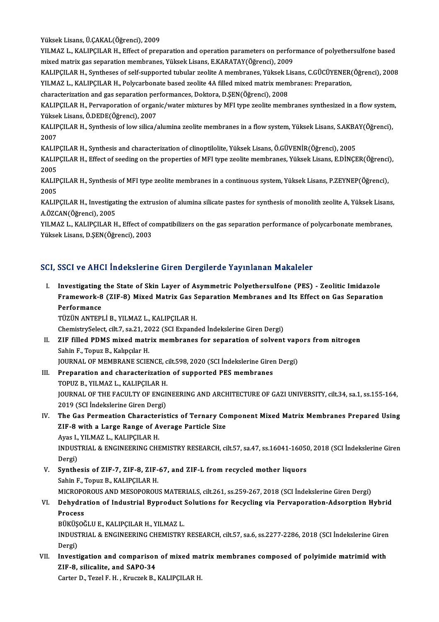Yüksek Lisans, Ü.ÇAKAL(Öğrenci), 2009

Yüksek Lisans, Ü.ÇAKAL(Öğrenci), 2009<br>YILMAZ L., KALIPÇILAR H., Effect of preparation and operation parameters on performance of polyethersulfone based<br>mived metriy ges senaration membranes. Yüksek Lisans, E.KARATAY(Öğrens Yüksek Lisans, Ü.ÇAKAL(Öğrenci), 2009<br>YILMAZ L., KALIPÇILAR H., Effect of preparation and operation parameters on perfor<br>mixed matrix gas separation membranes, Yüksek Lisans, E.KARATAY(Öğrenci), 2009<br>KALIPCU AP H. Symthess YILMAZ L., KALIPÇILAR H., Effect of preparation and operation parameters on performance of polyethersulfone based<br>mixed matrix gas separation membranes, Yüksek Lisans, E.KARATAY(Öğrenci), 2009<br>KALIPÇILAR H., Syntheses of s

mixed matrix gas separation membranes, Yüksek Lisans, E.KARATAY(Öğrenci), 2009<br>KALIPÇILAR H., Syntheses of self-supported tubular zeolite A membranes, Yüksek Lisans, C.GÜCÜYENER(<br>YILMAZ L., KALIPÇILAR H., Polycarbonate bas KALIPÇILAR H., Syntheses of self-supported tubular zeolite A membranes, Yüksek L<br>YILMAZ L., KALIPÇILAR H., Polycarbonate based zeolite 4A filled mixed matrix mem<br>characterization and gas separation performances, Doktora, D

YILMAZ L., KALIPÇILAR H., Polycarbonate based zeolite 4A filled mixed matrix membranes: Preparation,<br>characterization and gas separation performances, Doktora, D.ŞEN(Öğrenci), 2008<br>KALIPÇILAR H., Pervaporation of organic/w characterization and gas separation per<br>KALIPÇILAR H., Pervaporation of organ<br>Yüksek Lisans, Ö.DEDE(Öğrenci), 2007<br>KALIPCU AB H. Synthesis of low silisa ( KALIPÇILAR H., Pervaporation of organic/water mixtures by MFI type zeolite membranes synthesized in a flow system<br>Yüksek Lisans, Ö.DEDE(Öğrenci), 2007<br>KALIPÇILAR H., Synthesis of low silica/alumina zeolite membranes in a f

Yükse<br>KALIP<br>2007<br>KALIP KALIPÇILAR H., Synthesis of low silica/alumina zeolite membranes in a flow system, Yüksek Lisans, S.AKBA<br>2007<br>KALIPÇILAR H., Synthesis and characterization of clinoptilolite, Yüksek Lisans, Ö.GÜVENİR(Öğrenci), 2005<br>KALIPÇI

KALIPÇILAR H., Synthesis and characterization of clinoptilolite, Yüksek Lisans, Ö.GÜVENİR(Öğrenci), 2005

2007<br>KALIPÇILAR H., Synthesis and characterization of clinoptilolite, Yüksek Lisans, Ö.GÜVENİR(Öğrenci), 2005<br>KALIPÇILAR H., Effect of seeding on the properties of MFI type zeolite membranes, Yüksek Lisans, E.DİNÇER(Öğrenc KALIPÇILAR H., Effect of seeding on the properties of MFI type zeolite membranes, Yüksek Lisans, E.DİNÇER(Öğrenci<br>2005<br>KALIPÇILAR H., Synthesis of MFI type zeolite membranes in a continuous system, Yüksek Lisans, P.ZEYNEP(

2005<br>KALIP<br>2005<br>KALIP KALIPÇILAR H., Synthesis of MFI type zeolite membranes in a continuous system, Yüksek Lisans, P.ZEYNEP(Öğrenci),<br>2005<br>KALIPÇILAR H., Investigating the extrusion of alumina silicate pastes for synthesis of monolith zeolite

2005<br>KALIPÇILAR H., Investigat<br>A.ÖZCAN(Öğrenci), 2005<br>YU MAZ L., KALIPCU AP H KALIPÇILAR H., Investigating the extrusion of alumina silicate pastes for synthesis of monolith zeolite A, Yüksek Lisans<br>A.ÖZCAN(Öğrenci), 2005<br>YillMAZ L., KALIPÇILAR H., Effect of compatibilizers on the gas separation per

A.ÖZCAN(Öğrenci), 2005<br>YILMAZ L., KALIPÇILAR H., Effect of compatibilizers on the gas separation performance of polycarbonate membranes,<br>Yüksek Lisans, D.ŞEN(Öğrenci), 2003

### SCI, SSCI ve AHCI İndekslerine Giren Dergilerde Yayınlanan Makaleler

CI, SSCI ve AHCI İndekslerine Giren Dergilerde Yayınlanan Makaleler<br>I. Investigating the State of Skin Layer of Asymmetric Polyethersulfone (PES) - Zeolitic Imidazole<br>Eramewark 8.(715.9) Mixed Matrix Cas Sanaratian Mambran Boot voltings inadicition on on Borghoral Taylinaman Maharoler<br>Investigating the State of Skin Layer of Asymmetric Polyethersulfone (PES) - Zeolitic Imidazole<br>Framework-8 (ZIF-8) Mixed Matrix Gas Separation Membranes and I Investigating<br>Framework-8<br>Performance<br>TüzüN ANTEDI Framework-8 (ZIF-8) Mixed Matrix Gas Separation Membranes and Its Effect on Gas Separation<br>Performance<br>TÜZÜN ANTEPLİ B., YILMAZ L., KALIPÇILAR H.

ChemistrySelect, cilt.7, sa.21, 2022 (SCI Expanded İndekslerine Giren Dergi)

TÜZÜN ANTEPLİ B., YILMAZ L., KALIPÇILAR H.<br>ChemistrySelect, cilt.7, sa.21, 2022 (SCI Expanded İndekslerine Giren Dergi)<br>II. ZIF filled PDMS mixed matrix membranes for separation of solvent vapors from nitrogen<br>Sabin E. Ten Sahin F., Topuz B., Kalıpçılar H. ZIF filled PDMS mixed matrix membranes for separation of solvent vap<br>Sahin F., Topuz B., Kalıpçılar H.<br>JOURNAL OF MEMBRANE SCIENCE, cilt.598, 2020 (SCI İndekslerine Giren Dergi)<br>Preperation and sharesterization of sunnante

JOURNAL OF MEMBRANE SCIENCE, cilt.598, 2020 (SCI İndekslerine Giren Dergi)

- III. Preparation and characterization of supported PES membranes<br>TOPUZ B., YILMAZ L., KALIPCILAR H. Preparation and characterization of supported PES membranes<br>TOPUZ B., YILMAZ L., KALIPÇILAR H.<br>JOURNAL OF THE FACULTY OF ENGINEERING AND ARCHITECTURE OF GAZI UNIVERSITY, cilt.34, sa.1, ss.155-164,<br>2010 (SCLIndelialerine Ci TOPUZ B., YILMAZ L., KALIPÇILAR H.<br>JOURNAL OF THE FACULTY OF ENGI<br>2019 (SCI İndekslerine Giren Dergi)<br>The Cas Permestian Characterist JOURNAL OF THE FACULTY OF ENGINEERING AND ARCHITECTURE OF GAZI UNIVERSITY, cilt.34, sa.1, ss.155-164,<br>2019 (SCI Indekslerine Giren Dergi)<br>IV. The Gas Permeation Characteristics of Ternary Component Mixed Matrix Membranes P
- 2019 (SCI İndekslerine Giren Dergi)<br>The Gas Permeation Characteristics of Ternary Co<br>ZIF-8 with a Large Range of Average Particle Size<br>Aves L. YU MAZI KALIPCU AP H The Gas Permeation Character<br>ZIF-8 with a Large Range of A<br>Ayas I., YILMAZ L., KALIPÇILAR H.<br>INDUSTRIAL & ENCINEERING CH ZIF-8 with a Large Range of Average Particle Size<br>Ayas I., YILMAZ L., KALIPÇILAR H.<br>INDUSTRIAL & ENGINEERING CHEMISTRY RESEARCH, cilt.57, sa.47, ss.16041-16050, 2018 (SCI İndekslerine Giren<br>Persi)

Ayas I.,<br>INDUS<sup>.</sup><br>Dergi)<br>Synthe INDUSTRIAL & ENGINEERING CHEMISTRY RESEARCH, cilt.57, sa.47, ss.16041-1605(<br>Dergi)<br>V. Synthesis of ZIF-7, ZIF-8, ZIF-67, and ZIF-L from recycled mother liquors<br>Sabin E. Tonus R. KALIBCU AR H

Dergi)<br>V. Synthesis of ZIF-7, ZIF-8, ZIF-67, and ZIF-L from recycled mother liquors<br>Sahin F., Topuz B., KALIPÇILAR H.

MICROPOROUSANDMESOPOROUSMATERIALS, cilt.261, ss.259-267,2018 (SCI İndekslerineGirenDergi)

# Sahin F., Topuz B., KALIPÇILAR H.<br>MICROPOROUS AND MESOPOROUS MATERIALS, cilt.261, ss.259-267, 2018 (SCI İndekslerine Giren Dergi)<br>VI. Dehydration of Industrial Byproduct Solutions for Recycling via Pervaporation-Adsorp MICROPC<br><mark>Dehydra</mark><br>Process<br>Püvüsoğ Dehydration of Industrial Byproduct<br>Process<br>BÜKÜŞOĞLU E., KALIPÇILAR H., YILMAZ L.<br>INDUSTRIAL & ENCINEERING GUEMISTRY

BÜKÜŞOĞLU E., KALIPCILAR H., YILMAZ L.

Process<br>BÜKÜŞOĞLU E., KALIPÇILAR H., YILMAZ L.<br>INDUSTRIAL & ENGINEERING CHEMISTRY RESEARCH, cilt.57, sa.6, ss.2277-2286, 2018 (SCI İndekslerine Giren<br>Dergi) INDUSTRIAL & ENGINEERING CHEMISTRY RESEARCH, cilt.57, sa.6, ss.2277-2286, 2018 (SCI indekslerine Giren<br>Dergi)<br>VII. Investigation and comparison of mixed matrix membranes composed of polyimide matrimid with<br>7JE 8, silicolit

Dergi)<br>Investigation and comparison<br>ZIF-8, silicalite, and SAPO-34<br>Cartar D. Taral E. H., Krugrak B. Investigation and comparison of mixed ma<br>ZIF-8, silicalite, and SAP0-34<br>Carter D., Tezel F. H. , Kruczek B., KALIPÇILAR H.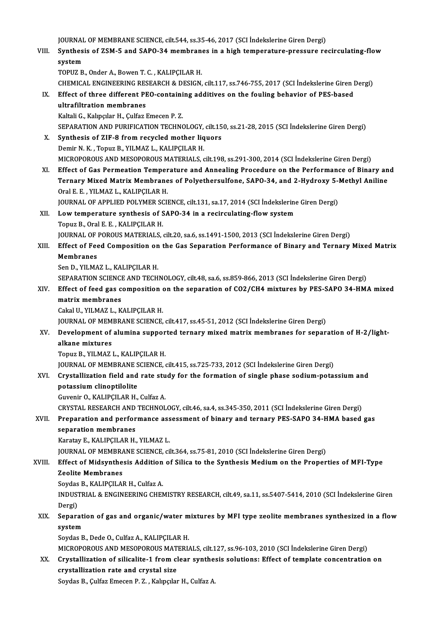JOURNAL OF MEMBRANE SCIENCE, cilt.544, ss.35-46, 2017 (SCI İndekslerine Giren Dergi)<br>Synthosis of ZSM 5 and SARO 34 membranes in a birb temperature preseure re

VIII. Synthesis of ZSM-5 and SAPO-34 membranes in a high temperature-pressure recirculating-flow<br>system **JOURNAL**<br>Synthes<br>system<br>TOPUZ P

TOPUZ B., Onder A., Bowen T. C., KALIPÇILAR H. system<br>TOPUZ B., Onder A., Bowen T. C. , KALIPÇILAR H.<br>CHEMICAL ENGINEERING RESEARCH & DESIGN, cilt.117, ss.746-755, 2017 (SCI İndekslerine Giren Dergi)<br>Effect of three different PEO containing additives en the fouling beh TOPUZ B., Onder A., Bowen T. C. , KALIPÇILAR H.<br>CHEMICAL ENGINEERING RESEARCH & DESIGN, cilt.117, ss.746-755, 2017 (SCI Indekslerine Giren I<br>IX. Effect of three different PEO-containing additives on the fouling behavior of

CHEMICAL ENGINEERING RES<br>Effect of three different PI<br>ultrafiltration membranes<br>Kaltali C. Kalmalar H. Culfaz I IX. Effect of three different PEO-containing additives on the fouling behavior of PES-based<br>ultrafiltration membranes<br>Kaltali G., Kalıpçılar H., Çulfaz Emecen P. Z. ultrafiltration membranes<br>Kaltali G., Kalıpçılar H., Çulfaz Emecen P. Z.<br>SEPARATION AND PURIFICATION TECHNOLOGY, cilt.150, ss.21-28, 2015 (SCI İndekslerine Giren Dergi)<br>Synthosis of ZIE 8 from regyaled mether liquers

X. Synthesis of ZIF-8 from recycled mother liquors<br>Demir N.K., Topuz B., YILMAZ L., KALIPCILAR H. SEPARATION AND PURIFICATION TECHNOLOGY,<br>Synthesis of ZIF-8 from recycled mother liq<br>Demir N. K., Topuz B., YILMAZ L., KALIPÇILAR H.<br>MICROPOROUS AND MESOROROUS MATERIALS MICROPOROUSANDMESOPOROUSMATERIALS, cilt.198, ss.291-300,2014 (SCI İndekslerineGirenDergi)

XI. Effect of Gas Permeation Temperature and Annealing Procedure on the Performance of Binary and MICROPOROUS AND MESOPOROUS MATERIALS, cilt.198, ss.291-300, 2014 (SCI İndekslerine Giren Dergi)<br>Effect of Gas Permeation Temperature and Annealing Procedure on the Performance of Binary an<br>Ternary Mixed Matrix Membranes of Effect of Gas Permeation Temper<br>Ternary Mixed Matrix Membrane<br>Oral E. E. , YILMAZ L., KALIPÇILAR H.<br>JOUPNAL OF APPLIED POLYMER SCU Ternary Mixed Matrix Membranes of Polyethersulfone, SAPO-34, and 2-Hydroxy 5-1<br>Oral E. E. , YILMAZ L., KALIPÇILAR H.<br>JOURNAL OF APPLIED POLYMER SCIENCE, cilt.131, sa.17, 2014 (SCI İndekslerine Giren Dergi)<br>Low temperature

JOURNAL OF APPLIED POLYMER SCIENCE, cilt.131, sa.17, 2014 (SCI İndekslerine Giren Dergi)

# Oral E. E., YILMAZ L., KALIPÇILAR H.<br>JOURNAL OF APPLIED POLYMER SCIENCE, cilt.131, sa.17, 2014 (SCI Indekslerin<br>XII. Low temperature synthesis of SAPO-34 in a recirculating-flow system<br>Topuz B., Oral E. E., KALIPCILAR H.

JOURNAL OF POROUS MATERIALS, cilt.20, sa.6, ss.1491-1500, 2013 (SCI İndekslerine Giren Dergi) Topuz B., Oral E. E. , KALIPÇILAR H.<br>JOURNAL OF POROUS MATERIALS, cilt.20, sa.6, ss.1491-1500, 2013 (SCI İndekslerine Giren Dergi)<br>XIII. Effect of Feed Composition on the Gas Separation Performance of Binary and Ternar **JOURNAL OF<br>Effect of Fee<br>Membranes<br>Son D. VII MA** Effect of Feed Composition on<br>Membranes<br>Sen D., YILMAZ L., KALIPÇILAR H.<br>SERARATION SCIENCE AND TECH

Membranes<br>Sen D., YILMAZ L., KALIPÇILAR H.<br>SEPARATION SCIENCE AND TECHNOLOGY, cilt.48, sa.6, ss.859-866, 2013 (SCI İndekslerine Giren Dergi)<br>Effect of food ges somnosition on the sonaration of CO2/CH4 mixtures by PES SARO

### Sen D., YILMAZ L., KALIPÇILAR H.<br>SEPARATION SCIENCE AND TECHNOLOGY, cilt.48, sa.6, ss.859-866, 2013 (SCI İndekslerine Giren Dergi)<br>XIV. Effect of feed gas composition on the separation of CO2/CH4 mixtures by PES-SAPO 3 SEPARATION SCIENCI<br>Effect of feed gas c<br>matrix membranes<br>Cakal II, VII MAZ I, V Effect of feed gas composition<br>matrix membranes<br>Cakal U., YILMAZ L., KALIPÇILAR H.<br>JOUPMAL OF MEMPRANE SCIENCE matrix membranes<br>Cakal U., YILMAZ L., KALIPÇILAR H.<br>JOURNAL OF MEMBRANE SCIENCE, cilt.417, ss.45-51, 2012 (SCI İndekslerine Giren Dergi)<br>Develenment of alumine sunnarted tennevy miyed matriy membranes for senar

# Cakal U., YILMAZ L., KALIPÇILAR H.<br>JOURNAL OF MEMBRANE SCIENCE, cilt.417, ss.45-51, 2012 (SCI İndekslerine Giren Dergi)<br>XV. Development of alumina supported ternary mixed matrix membranes for separation of H-2/light-<br>a JOURNAL OF MEM<br>Development of<br>alkane mixtures<br>Topuz P. VII MAZ

Topuz B., YILMAZ L., KALIPÇILAR H.

JOURNAL OF MEMBRANE SCIENCE, cilt.415, ss.725-733, 2012 (SCI İndekslerine Giren Dergi)

# Topuz B., YILMAZ L., KALIPÇILAR H.<br>JOURNAL OF MEMBRANE SCIENCE, cilt.415, ss.725-733, 2012 (SCI İndekslerine Giren Dergi)<br>XVI. Crystallization field and rate study for the formation of single phase sodium-potassium and **JOURNAL OF MEMBRANES<br>Crystallization field and<br>potassium clinoptilolite<br>Cuvenin Q KALIPCU AP H** Crystallization field and rate stu<br>potassium clinoptilolite<br>Guvenir O., KALIPÇILAR H., Culfaz A.<br>CPYSTAL PESEARCH AND TECHNOL

potassium clinoptilolite<br>Guvenir O., KALIPÇILAR H., Culfaz A.<br>CRYSTAL RESEARCH AND TECHNOLOGY, cilt.46, sa.4, ss.345-350, 2011 (SCI İndekslerine Giren Dergi)<br>Preparation and parformanes assessment of binary and ternary PES

# Guvenir O., KALIPÇILAR H., Culfaz A.<br>CRYSTAL RESEARCH AND TECHNOLOGY, cilt.46, sa.4, ss.345-350, 2011 (SCI İndekslerine Giren Dergi)<br>XVII. Preparation and performance assessment of binary and ternary PES-SAPO 34-HMA based CRYSTAL RESEARCH AND<br>Preparation and perfor<br>separation membranes<br>Karatau E. KALIPCH AP H

Karatay E., KALIPÇILAR H., YILMAZ L.

JOURNAL OF MEMBRANE SCIENCE, cilt.364, ss.75-81, 2010 (SCI İndekslerine Giren Dergi)

# Karatay E., KALIPÇILAR H., YILMAZ L.<br>JOURNAL OF MEMBRANE SCIENCE, cilt.364, ss.75-81, 2010 (SCI İndekslerine Giren Dergi)<br>XVIII. Effect of Midsynthesis Addition of Silica to the Synthesis Medium on the Properties of MF Zeolite Membranes Effect of Midsynthesis Addition<br>Zeolite Membranes<br>Soydas B., KALIPÇILAR H., Culfaz A.<br>INDUSTRIAL & ENGINEERING CHEN

Soydas B., KALIPCILAR H., Culfaz A.

INDUSTRIAL & ENGINEERING CHEMISTRY RESEARCH, cilt.49, sa.11, ss.5407-5414, 2010 (SCI İndekslerine Giren<br>Dergi) INDUSTRIAL & ENGINEERING CHEMISTRY RESEARCH, cilt.49, sa.11, ss.5407-5414, 2010 (SCI İndekslerine Giren<br>Dergi)<br>XIX. Separation of gas and organic/water mixtures by MFI type zeolite membranes synthesized in a flow<br>synthesiz

# Dergi)<br>Separati<br>system<br><sup>Soudos B</sup> Separation of gas and organic/water m<br>system<br>Soydas B., Dede O., Culfaz A., KALIPÇILAR H.<br>MICROROROUS AND MESOROROUS MATERL system<br>Soydas B., Dede O., Culfaz A., KALIPÇILAR H.<br>MICROPOROUS AND MESOPOROUS MATERIALS, cilt.127, ss.96-103, 2010 (SCI İndekslerine Giren Dergi)<br>Crystallization of silicalita 1 from elean synthosis salutions: Effect of t

# Soydas B., Dede O., Culfaz A., KALIPÇILAR H.<br>MICROPOROUS AND MESOPOROUS MATERIALS, cilt.127, ss.96-103, 2010 (SCI İndekslerine Giren Dergi)<br>XX. Crystallization of silicalite-1 from clear synthesis solutions: Effect of temp MICROPOROUS AND MESOPOROUS MAT<br>Crystallization of silicalite-1 from cl<br>crystallization rate and crystal size<br>Soudes B. Culfor Emeson B. 7. Kelingles Crystallization of silicalite-1 from clear synthe:<br>crystallization rate and crystal size<br>Soydas B., Çulfaz Emecen P. Z. , Kalıpçılar H., Culfaz A.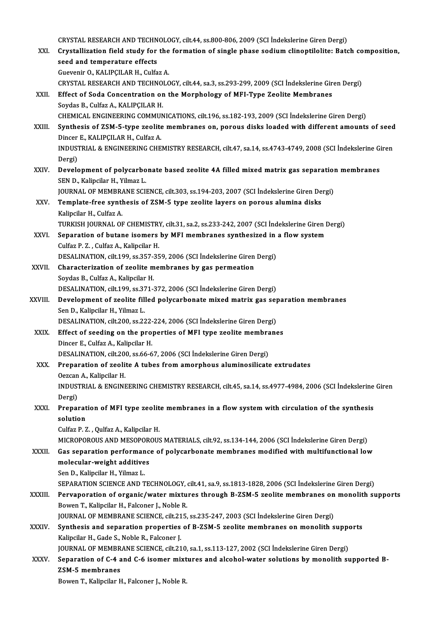CRYSTAL RESEARCH AND TECHNOLOGY, cilt.44, ss.800-806, 2009 (SCI İndekslerine Giren Dergi)<br>Crystallization field study for the formation of single phase andium slinentilelite: Pets

|              | CRYSTAL RESEARCH AND TECHNOLOGY, cilt.44, ss.800-806, 2009 (SCI İndekslerine Giren Dergi)                                                                                                          |
|--------------|----------------------------------------------------------------------------------------------------------------------------------------------------------------------------------------------------|
| XXI.         | Crystallization field study for the formation of single phase sodium clinoptilolite: Batch composition,                                                                                            |
|              | seed and temperature effects                                                                                                                                                                       |
|              | Guevenir O., KALIPÇILAR H., Culfaz A.                                                                                                                                                              |
|              | CRYSTAL RESEARCH AND TECHNOLOGY, cilt.44, sa.3, ss.293-299, 2009 (SCI İndekslerine Giren Dergi)                                                                                                    |
| XXII.        | Effect of Soda Concentration on the Morphology of MFI-Type Zeolite Membranes                                                                                                                       |
|              | Soydas B., Culfaz A., KALIPCILAR H.                                                                                                                                                                |
| XXIII.       | CHEMICAL ENGINEERING COMMUNICATIONS, cilt.196, ss.182-193, 2009 (SCI İndekslerine Giren Dergi)<br>Synthesis of ZSM-5-type zeolite membranes on, porous disks loaded with different amounts of seed |
|              | Dincer E., KALIPÇILAR H., Culfaz A.                                                                                                                                                                |
|              | INDUSTRIAL & ENGINEERING CHEMISTRY RESEARCH, cilt.47, sa 14, ss.4743-4749, 2008 (SCI Indekslerine Giren                                                                                            |
|              | Dergi)                                                                                                                                                                                             |
| XXIV         | Development of polycarbonate based zeolite 4A filled mixed matrix gas separation membranes                                                                                                         |
|              | SEN D., Kalipcilar H., Yilmaz L.                                                                                                                                                                   |
|              | JOURNAL OF MEMBRANE SCIENCE, cilt.303, ss.194-203, 2007 (SCI Indekslerine Giren Dergi)                                                                                                             |
| XXV.         | Template-free synthesis of ZSM-5 type zeolite layers on porous alumina disks                                                                                                                       |
|              | Kalipcilar H., Culfaz A.                                                                                                                                                                           |
|              | TURKISH JOURNAL OF CHEMISTRY, cilt.31, sa.2, ss.233-242, 2007 (SCI Indekslerine Giren Dergi)                                                                                                       |
| XXVI.        | Separation of butane isomers by MFI membranes synthesized in a flow system                                                                                                                         |
|              | Culfaz P. Z., Culfaz A., Kalipcilar H.                                                                                                                                                             |
|              | DESALINATION, cilt.199, ss.357-359, 2006 (SCI Indekslerine Giren Dergi)                                                                                                                            |
| XXVII.       | Characterization of zeolite membranes by gas permeation                                                                                                                                            |
|              | Soydas B, Culfaz A, Kalipcilar H.<br>DESALINATION, cilt.199, ss.371-372, 2006 (SCI İndekslerine Giren Dergi)                                                                                       |
| XXVIII.      | Development of zeolite filled polycarbonate mixed matrix gas separation membranes                                                                                                                  |
|              | Sen D., Kalipcilar H., Yilmaz L.                                                                                                                                                                   |
|              | DESALINATION, cilt 200, ss 222-224, 2006 (SCI İndekslerine Giren Dergi)                                                                                                                            |
| XXIX.        | Effect of seeding on the properties of MFI type zeolite membranes                                                                                                                                  |
|              | Dincer E., Culfaz A., Kalipcilar H.                                                                                                                                                                |
|              | DESALINATION, cilt.200, ss.66-67, 2006 (SCI İndekslerine Giren Dergi)                                                                                                                              |
| XXX.         | Preparation of zeolite A tubes from amorphous aluminosilicate extrudates                                                                                                                           |
|              | Oezcan A., Kalipcilar H.                                                                                                                                                                           |
|              | INDUSTRIAL & ENGINEERING CHEMISTRY RESEARCH, cilt.45, sa.14, ss.4977-4984, 2006 (SCI Indekslerine Giren                                                                                            |
|              | Dergi)                                                                                                                                                                                             |
| XXXI.        | Preparation of MFI type zeolite membranes in a flow system with circulation of the synthesis<br>solution                                                                                           |
|              | Culfaz P. Z., Qulfaz A., Kalipcilar H.                                                                                                                                                             |
|              | MICROPOROUS AND MESOPOROUS MATERIALS, cilt.92, ss.134-144, 2006 (SCI İndekslerine Giren Dergi)                                                                                                     |
| XXXII.       | Gas separation performance of polycarbonate membranes modified with multifunctional low                                                                                                            |
|              | molecular-weight additives                                                                                                                                                                         |
|              | Sen D., Kalipcilar H., Yilmaz L.                                                                                                                                                                   |
|              | SEPARATION SCIENCE AND TECHNOLOGY, cilt.41, sa.9, ss.1813-1828, 2006 (SCI Indekslerine Giren Dergi)                                                                                                |
| XXXIII.      | Pervaporation of organic/water mixtures through B-ZSM-5 zeolite membranes on monolith supports                                                                                                     |
|              | Bowen T., Kalipcilar H., Falconer J., Noble R.                                                                                                                                                     |
|              | JOURNAL OF MEMBRANE SCIENCE, cilt.215, ss.235-247, 2003 (SCI Indekslerine Giren Dergi)                                                                                                             |
| <b>XXXIV</b> | Synthesis and separation properties of B-ZSM-5 zeolite membranes on monolith supports                                                                                                              |
|              | Kalipcilar H., Gade S., Noble R., Falconer J.                                                                                                                                                      |
|              | JOURNAL OF MEMBRANE SCIENCE, cilt.210, sa.1, ss.113-127, 2002 (SCI Indekslerine Giren Dergi)                                                                                                       |
| <b>XXXV</b>  | Separation of C-4 and C-6 isomer mixtures and alcohol-water solutions by monolith supported B-<br>ZSM-5 membranes                                                                                  |
|              | Bowen T., Kalipcilar H., Falconer J., Noble R.                                                                                                                                                     |
|              |                                                                                                                                                                                                    |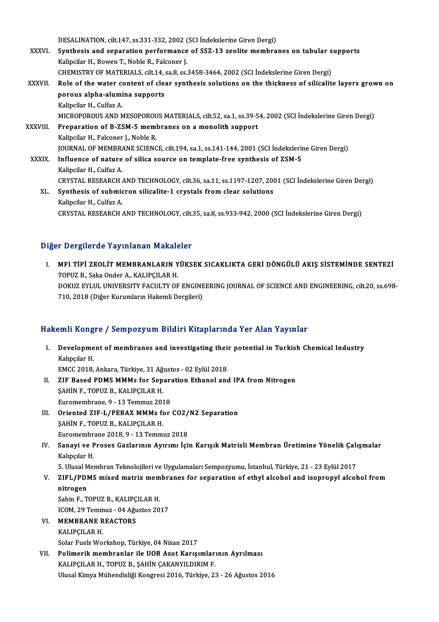DESALINATION, cilt.147, ss.331-332, 2002 (SCI İndekslerine Giren Dergi)

- DESALINATION, cilt.147, ss.331-332, 2002 (SCI İndekslerine Giren Dergi)<br>XXXVI. Synthesis and separation performance of SSZ-13 zeolite membranes on tubular supports DESALINATION, cilt.147, ss.331-332, 2002 (<br>Synthesis and separation performance<br>Kalipcilar H., Bowen T., Noble R., Falconer J.<br>CHEMISTRY OF MATERIALS, silt.14, 89.8.89. Synthesis and separation performance of SSZ-13 zeolite membranes on tubular s<br>Kalipcilar H., Bowen T., Noble R., Falconer J.<br>CHEMISTRY OF MATERIALS, cilt.14, sa.8, ss.3458-3464, 2002 (SCI İndekslerine Giren Dergi)<br>Role of CHEMISTRY OF MATERIALS, cilt.14, sa.8, ss.3458-3464, 2002 (SCI Indekslerine Giren Dergi)
- Kalipcilar H., Bowen T., Noble R., Falconer J.<br>CHEMISTRY OF MATERIALS, cilt.14, sa.8, ss.3458-3464, 2002 (SCI Indekslerine Giren Dergi)<br>XXXVII. Role of the water content of clear synthesis solutions on the thickness of sil Kalipcilar H., Culfaz A. porous alpha-alumina supports<br>Kalipcilar H., Culfaz A.<br>MICROPOROUS AND MESOPOROUS MATERIALS, cilt.52, sa.1, ss.39-54, 2002 (SCI İndekslerine Giren Dergi)<br>Prenanation of B.ZSM 5 mombranes en a monolith sunnert
- XXXVIII. Preparation of B-ZSM-5 membranes on a monolith support<br>Kalipcilar H., Falconer J., Noble R. MICROPOROUS AND MESOPOROU<br>Preparation of B-ZSM-5 memi<br>Kalipcilar H., Falconer J., Noble R.<br>JOUPMAL OF MEMPPANE SCIENC Preparation of B-ZSM-5 membranes on a monolith support<br>Kalipcilar H., Falconer J., Noble R.<br>JOURNAL OF MEMBRANE SCIENCE, cilt.194, sa.1, ss.141-144, 2001 (SCI İndekslerine Giren Dergi)<br>Influence of nature of silice seuree XXXIX. Influence of nature of silica source on template-free synthesis of ZSM-5<br>Kalipcilar H., Culfaz A. **JOURNAL OF MEMBRA**<br>I**nfluence of nature<br>Kalipcilar H., Culfaz A.**<br>CPVSTAL PESEAPCH. Influence of nature of silica source on template-free synthesis of ZSM-5<br>Kalipcilar H., Culfaz A.<br>CRYSTAL RESEARCH AND TECHNOLOGY, cilt.36, sa.11, ss.1197-1207, 2001 (SCI İndekslerine Giren Dergi)<br>Synthesis of submismon si Kalipcilar H., Culfaz A.<br>CRYSTAL RESEARCH AND TECHNOLOGY, cilt.36, sa.11, ss.1197-1207, 200<br>XL. Synthesis of submicron silicalite-1 crystals from clear solutions<br>Kalipsilar H. Culfaz A CRYSTAL RESEARCH<br>Synthesis of submic<br>Kalipcilar H., Culfaz A.<br>CPYSTAL RESEARCH XL. Synthesis of submicron silicalite-1 crystals from clear solutions<br>Kalipcilar H., Culfaz A.<br>CRYSTAL RESEARCH AND TECHNOLOGY, cilt.35, sa.8, ss.933-942, 2000 (SCI İndekslerine Giren Dergi)

### Diğer Dergilerde Yayınlanan Makaleler

Iğer Dergilerde Yayınlanan Makaleler<br>I. MFI TİPİ ZEOLİT MEMBRANLARIN YÜKSEK SICAKLIKTA GERİ DÖNGÜLÜ AKIŞ SİSTEMİNDE SENTEZİ<br>TOPUZ B. Saka Ondar A. KALIPCU AR H TOPUZ B., Saka Onder A., KALIPÇILAR H.<br>TOPUZ B., Saka Onder A., KALIPÇILAR H.<br>DOKUZ EVLUL UNIVERSITY FACULTY OF MFI TİPİ ZEOLİT MEMBRANLARIN YÜKSEK SICAKLIKTA GERİ DÖNGÜLÜ AKIŞ SİSTEMİNDE SENTEZİ<br>TOPUZ B., Saka Onder A., KALIPÇILAR H.<br>DOKUZ EYLUL UNIVERSITY FACULTY OF ENGINEERING JOURNAL OF SCIENCE AND ENGINEERING, cilt.20, ss.698-<br> TOPUZ B., Saka Onder A., KALIPÇILAR H.<br>DOKUZ EYLUL UNIVERSITY FACULTY OF ENGINEERING JOURNAL OF SCIENCE AND ENGINEERING, cilt.20, ss.698-<br>710, 2018 (Diğer Kurumların Hakemli Dergileri)

### Hakemli Kongre / Sempozyum Bildiri Kitaplarında Yer Alan Yayınlar

- akemli Kongre / Sempozyum Bildiri Kitaplarında Yer Alan Yayınlar<br>I. Development of membranes and investigating their potential in Turkish Chemical Industry<br>Kelnglar H MH Kong<br>Developme<br>Kalıpçılar H. Development of membranes and investigating their<br>Kalıpçılar H.<br>EMCC 2018, Ankara, Türkiye, 31 Ağustos - 02 Eylül 2018<br>ZIE Based PDMS MMMs for Sanaration Ethanol and Kalıpçılar H.<br>EMCC 2018, Ankara, Türkiye, 31 Ağustos - 02 Eylül 2018<br>II. ZIF Based PDMS MMMs for Separation Ethanol and IPA from Nitrogen<br>SAHINE, TOPUZ B. KALIPCU AR H EMCC 2018, Ankara, Türkiye, 31 Ağ<br>ZIF Based PDMS MMMs for Sep<br>ŞAHİN F., TOPUZ B., KALIPÇILAR H.<br>Euromombrone 0, 12 Tommuz 202 ZIF Based PDMS MMMs for Separ:<br>ŞAHİN F., TOPUZ B., KALIPÇILAR H.<br>Euromembrane, 9 - 13 Temmuz 2018<br>Orionted ZIE I /PERAY MMMs for SAHIN F., TOPUZ B., KALIPÇILAR H.<br>Euromembrane, 9 - 13 Temmuz 2018<br>III. Oriented ZIF-L/PEBAX MMMs for CO2/N2 Separation<br>SAHIN E. TOBUZ B. KALIPCU AB H. Euromembrane, 9 - 13 Temmuz 2018<br>Oriented ZIF-L/PEBAX MMMs for<br>SAHİN F., TOPUZ B., KALIPÇILAR H.
- Oriented ZIF-L/PEBAX MMMs for CO2/<br>ŞAHİN F., TOPUZ B., KALIPÇILAR H.<br>Euromembrane 2018, 9 13 Temmuz 2018<br>Sanavi ve Preses Carlarının Avurum İsi Euromembrane 2018. 9 - 13 Temmuz 2018
- IV. Sanayi ve Proses Gazlarının Ayırımı İçin Karışık Matrisli Membran Üretimine Yönelik Çalışmalar<br>Kalıpçılar H. Sanayi ve Proses Gazlarının Ayırımı İçin Karışık Matrisli Membran Üretimine Yönelik Çalı<br>Kalıpçılar H.<br>5. Ulusal Membran Teknolojileri ve Uygulamaları Sempozyumu, İstanbul, Türkiye, 21 - 23 Eylül 2017<br>ZIEL (PDMS miyed matr

- Kalıpçılar H.<br>5. Ulusal Membran Teknolojileri ve Uygulamaları Sempozyumu, İstanbul, Türkiye, 21 23 Eylül 2017<br>7. ZIFL/PDMS mixed matrix membranes for separation of ethyl alcohol and isopropyl alcohol from<br>1. nitnogen 5. Ulusal M<br>ZIFL/PDI<br>nitrogen<br>Sebin E. T ZIFL/PDMS mixed matrix mem<br>nitrogen<br>Sahin F., TOPUZ B., KALIPÇILAR H.<br>ICOM 29 Temmuz - 94 Ažustes 29
- nitrogen<br>Sahin F., TOPUZ B., KALIPÇILAR H.<br>ICOM, 29 Temmuz 04 Ağustos 2017 Sahin F., TOPUZ B., KALIPÇ<br>ICOM, 29 Temmuz - 04 Ağu<br>VI. MEMBRANE REACTORS
- ICOM, 29 Temm<br><mark>MEMBRANE R</mark><br>KALIPÇILAR H.<br>Selar Evels We
	-

KALIPÇILAR H.<br>Solar Fuels Workshop, Türkiye, 04 Nisan 2017

KALIPÇILAR H.<br>Solar Fuels Workshop, Türkiye, 04 Nisan 2017<br>VII. Polimerik membranlar ile UOB Azot Karışımlarının Ayrılması<br>KALIPCU AP H. TOPUZ B. SAHİN CAKANYU DIPIM E Solar Fuels Workshop, Türkiye, 04 Nisan 2017<br>Polimerik membranlar ile UOB Azot Karışımlar:<br>KALIPÇILAR H., TOPUZ B., ŞAHİN ÇAKANYILDIRIM F.<br>Ulucal Kimya Mühandisliği Kongresi 2016, Türkiye, 23 KALIPÇILAR H., TOPUZ B., ŞAHİN ÇAKANYILDIRIM F.<br>Ulusal Kimya Mühendisliği Kongresi 2016, Türkiye, 23 - 26 Ağustos 2016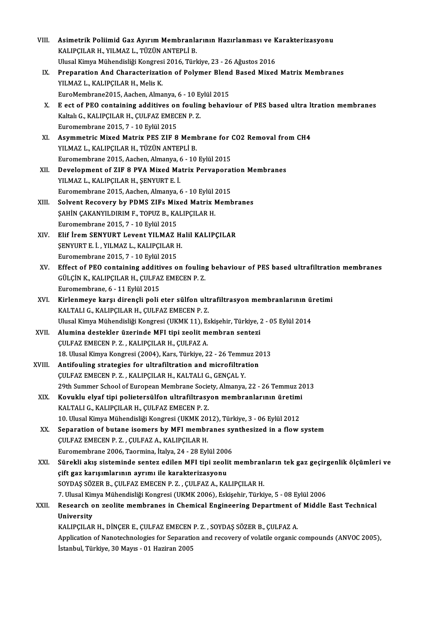| VIII.  | Asimetrik Poliimid Gaz Ayırım Membranlarının Hazırlanması ve Karakterizasyonu                                                          |
|--------|----------------------------------------------------------------------------------------------------------------------------------------|
|        | KALIPÇILAR H., YILMAZ L., TÜZÜN ANTEPLİ B.                                                                                             |
|        | Ulusal Kimya Mühendisliği Kongresi 2016, Türkiye, 23 - 26 Ağustos 2016                                                                 |
| IX.    | Preparation And Characterization of Polymer Blend Based Mixed Matrix Membranes                                                         |
|        | YILMAZ L., KALIPÇILAR H., Melis K.                                                                                                     |
|        | EuroMembrane2015, Aachen, Almanya, 6 - 10 Eylül 2015                                                                                   |
| Х.     | E ect of PEO containing additives on fouling behaviour of PES based ultra ltration membranes                                           |
|        | Kaltalı G., KALIPÇILAR H., ÇULFAZ EMECEN P.Z.                                                                                          |
|        | Euromembrane 2015, 7 - 10 Eylül 2015                                                                                                   |
| XI.    | Asymmetric Mixed Matrix PES ZIF 8 Membrane for CO2 Removal from CH4                                                                    |
|        | YILMAZ L., KALIPÇILAR H., TÜZÜN ANTEPLİ B.                                                                                             |
|        | Euromembrane 2015, Aachen, Almanya, 6 - 10 Eylül 2015                                                                                  |
| XII.   | Development of ZIF 8 PVA Mixed Matrix Pervaporation Membranes                                                                          |
|        | YILMAZ L., KALIPÇILAR H., ŞENYURT E. İ.                                                                                                |
|        | Euromembrane 2015, Aachen, Almanya, 6 - 10 Eylül 2015                                                                                  |
| XIII.  | Solvent Recovery by PDMS ZIFs Mixed Matrix Membranes                                                                                   |
|        | ŞAHİN ÇAKANYILDIRIM F., TOPUZ B., KALIPÇILAR H.                                                                                        |
|        | Euromembrane 2015, 7 - 10 Eylül 2015                                                                                                   |
| XIV.   | Elif İrem SENYURT Levent YILMAZ Halil KALIPÇILAR                                                                                       |
|        | ŞENYURT E. İ., YILMAZ L., KALIPÇILAR H.                                                                                                |
|        | Euromembrane 2015, 7 - 10 Eylül 2015                                                                                                   |
| XV.    | Effect of PEO containing additives on fouling behaviour of PES based ultrafiltration membranes                                         |
|        | GÜLÇİN K., KALIPÇILAR H., ÇULFAZ EMECEN P.Z.                                                                                           |
|        | Euromembrane, 6 - 11 Eylül 2015                                                                                                        |
| XVI.   | Kirlenmeye karşı dirençli poli eter sülfon ultrafiltrasyon membranlarının üretimi                                                      |
|        | KALTALI G., KALIPÇILAR H., ÇULFAZ EMECEN P.Z.                                                                                          |
|        | Ulusal Kimya Mühendisliği Kongresi (UKMK 11), Eskişehir, Türkiye, 2 - 05 Eylül 2014                                                    |
| XVII.  | Alumina destekler üzerinde MFI tipi zeolit membran sentezi                                                                             |
|        | CULFAZ EMECEN P. Z. . KALIPCILAR H. CULFAZ A                                                                                           |
| XVIII. | 18. Ulusal Kimya Kongresi (2004), Kars, Türkiye, 22 - 26 Temmuz 2013<br>Antifouling strategies for ultrafiltration and microfiltration |
|        | ÇULFAZ EMECEN P.Z., KALIPÇILAR H., KALTALI G., GENÇAL Y.                                                                               |
|        | 29th Summer School of European Membrane Society, Almanya, 22 - 26 Temmuz 2013                                                          |
| XIX.   | Kovuklu elyaf tipi polietersülfon ultrafiltrasyon membranlarının üretimi                                                               |
|        | KALTALI G., KALIPÇILAR H., ÇULFAZ EMECEN P.Z.                                                                                          |
|        | 10. Ulusal Kimya Mühendisliği Kongresi (UKMK 2012), Türkiye, 3 - 06 Eylül 2012                                                         |
| XX.    | Separation of butane isomers by MFI membranes synthesized in a flow system                                                             |
|        | ÇULFAZ EMECEN P.Z., ÇULFAZ A., KALIPÇILAR H.                                                                                           |
|        | Euromembrane 2006, Taormina, İtalya, 24 - 28 Eylül 2006                                                                                |
| XXI.   | Sürekli akış sisteminde sentez edilen MFI tipi zeolit membranların tek gaz geçirgenlik ölçümleri ve                                    |
|        | çift gaz karışımlarının ayrımı ile karakterizasyonu                                                                                    |
|        | SOYDAŞ SÖZER B., ÇULFAZ EMECEN P.Z., ÇULFAZ A., KALIPÇILAR H.                                                                          |
|        | 7. Ulusal Kimya Mühendisliği Kongresi (UKMK 2006), Eskişehir, Türkiye, 5 - 08 Eylül 2006                                               |
| XXII.  | Research on zeolite membranes in Chemical Engineering Department of Middle East Technical                                              |
|        | University                                                                                                                             |
|        | KALIPÇILAR H., DİNÇER E., ÇULFAZ EMECEN P.Z., SOYDAŞ SÖZER B., ÇULFAZ A.                                                               |
|        | Application of Nanotechnologies for Separation and recovery of volatile organic compounds (ANVOC 2005),                                |
|        | İstanbul, Türkiye, 30 Mayıs - 01 Haziran 2005                                                                                          |
|        |                                                                                                                                        |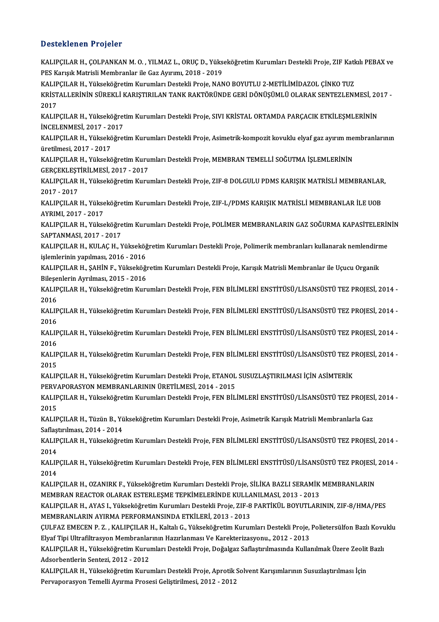### Desteklenen Projeler

Desteklenen Projeler<br>KALIPÇILAR H., ÇOLPANKAN M. O. , YILMAZ L., ORUÇ D., Yükseköğretim Kurumları Destekli Proje, ZIF Katkılı PEBAX ve<br>PES Kangık Matricli Mambranlar ilə Gaz Ayırımı, 2019, 2019 P OSCENCHON Y YOJOLEY<br>KALIPÇILAR H., ÇOLPANKAN M. O. , YILMAZ L., ORUÇ D., Yüks<br>PES Karışık Matrisli Membranlar ile Gaz Ayırımı, 2018 - 2019<br>KALIPÇILAR H. Vülseltöğretim Kurumları Destekli Broje NAN KALIPÇILAR H., ÇOLPANKAN M. O. , YILMAZ L., ORUÇ D., Yükseköğretim Kurumları Destekli Proje, ZIF Katl<br>PES Karışık Matrisli Membranlar ile Gaz Ayırımı, 2018 - 2019<br>KALIPÇILAR H., Yükseköğretim Kurumları Destekli Proje, NANO PES Karışık Matrisli Membranlar ile Gaz Ayırımı, 2018 - 2019<br>KALIPÇILAR H., Yükseköğretim Kurumları Destekli Proje, NANO BOYUTLU 2-METİLİMİDAZOL ÇİNKO TUZ<br>KRİSTALLERİNİN SÜREKLİ KARIŞTIRILAN TANK RAKTÖRÜNDE GERİ DÖNÜŞÜMLÜ KALIP<br>KRİST<br>2017<br>KALIP KRİSTALLERİNİN SÜREKLİ KARIŞTIRILAN TANK RAKTÖRÜNDE GERİ DÖNÜŞÜMLÜ OLARAK SENTEZLENMESİ, 20<br>2017<br>KALIPÇILAR H., Yükseköğretim Kurumları Destekli Proje, SIVI KRİSTAL ORTAMDA PARÇACIK ETKİLEŞMLERİNİN<br>İNCELENMESİ, 2017, -2017 2017<br>KALIPÇILAR H., Yükseköğretim Kurumları Destekli Proje, SIVI KRİSTAL ORTAMDA PARÇACIK ETKİLEŞMLERİNİN KALIPÇILAR H., Yükseköğretim Kurumları Destekli Proje, SIVI KRİSTAL ORTAMDA PARÇACIK ETKİLEŞMLERİNİN<br>İNCELENMESİ, 2017 - 2017<br>KALIPÇILAR H., Yükseköğretim Kurumları Destekli Proje, Asimetrik-kompozit kovuklu elyaf gaz ayır İNCELENMESİ, 2017 - 2017<br>KALIPÇILAR H., Yükseköğre<br>üretilmesi, 2017 - 2017 KALIPÇILAR H., Yükseköğretim Kurumları Destekli Proje, Asimetrik-kompozit kovuklu elyaf gaz ayırım me<br>üretilmesi, 2017 - 2017<br>KALIPÇILAR H., Yükseköğretim Kurumları Destekli Proje, MEMBRAN TEMELLİ SOĞUTMA İŞLEMLERİNİN<br>CERC KALIPÇILAR H., Yükseköğretim Kurumları Destekli Proje, MEMBRAN TEMELLİ SOĞUTMA İŞLEMLERİNİN<br>GERÇEKLEŞTİRİLMESİ, 2017 - 2017 KALIPÇILAR H., Yükseköğretim Kurumları Destekli Proje, MEMBRAN TEMELLİ SOĞUTMA İŞLEMLERİNİN<br>GERÇEKLEŞTİRİLMESİ, 2017 - 2017<br>KALIPÇILAR H., Yükseköğretim Kurumları Destekli Proje, ZIF-8 DOLGULU PDMS KARIŞIK MATRİSLİ MEMBRAN GERÇEKLEŞT<br>KALIPÇILAR<br>2017 - 2017<br>KALIPCU AP KALIPÇILAR H., Yükseköğretim Kurumları Destekli Proje, ZIF-8 DOLGULU PDMS KARIŞIK MATRİSLİ MEMBRANLAR<br>2017 - 2017<br>KALIPÇILAR H., Yükseköğretim Kurumları Destekli Proje, ZIF-L/PDMS KARIŞIK MATRİSLİ MEMBRANLAR İLE UOB<br>AYPIMI 2017 - 2017<br>KALIPÇILAR H., Yükseköğretim Kurumları Destekli Proje, ZIF-L/PDMS KARIŞIK MATRİSLİ MEMBRANLAR İLE UOB<br>AYRIMI, 2017 - 2017 KALIPÇILAR H., Yükseköğretim Kurumları Destekli Proje, ZIF-L/PDMS KARIŞIK MATRİSLİ MEMBRANLAR İLE UOB<br>AYRIMI, 2017 - 2017<br>KALIPÇILAR H., Yükseköğretim Kurumları Destekli Proje, POLİMER MEMBRANLARIN GAZ SOĞURMA KAPASİTELERİ AYRIMI, 2017 - 2017<br>KALIPÇILAR H., Yükseköğre<br>SAPTANMASI, 2017 - 2017<br>KALIPCU AP H. KULAC H. N KALIPÇILAR H., Yükseköğretim Kurumları Destekli Proje, POLİMER MEMBRANLARIN GAZ SOĞURMA KAPASİTELERİN<br>SAPTANMASI, 2017 - 2017<br>KALIPÇILAR H., KULAÇ H., Yükseköğretim Kurumları Destekli Proje, Polimerik membranları kullanara SAPTANMASI, 2017 - 2017<br>KALIPÇILAR H., KULAÇ H., Yükseköğ<br>işlemlerinin yapılması, 2016 - 2016<br>KALIPCU AR H. SAHİN E. Yükseköğ KALIPÇILAR H., KULAÇ H., Yükseköğretim Kurumları Destekli Proje, Polimerik membranları kullanarak nemlendirn<br>işlemlerinin yapılması, 2016 - 2016<br>KALIPÇILAR H., ŞAHİN F., Yükseköğretim Kurumları Destekli Proje, Karışık Matr işlemlerinin yapılması, 2016 - 2016<br>KALIPÇILAR H., ŞAHİN F., Yükseköğretim Kurumları Destekli Proje, Karışık Matrisli Membranlar ile Uçucu Organik<br>Bileşenlerin Ayrılması, 2015 - 2016 KALIPÇILAR H., ŞAHİN F., Yükseköğretim Kurumları Destekli Proje, Karışık Matrisli Membranlar ile Uçucu Organik<br>Bileşenlerin Ayrılması, 2015 - 2016<br>KALIPÇILAR H., Yükseköğretim Kurumları Destekli Proje, FEN BİLİMLERİ ENSTİT Bileşe<br>KALIP<br>2016 KALIPÇILAR H., Yükseköğretim Kurumları Destekli Proje, FEN BİLİMLERİ ENSTİTÜSÜ/LİSANSÜSTÜ TEZ PROJESİ, 2014 -<br>2016<br>KALIPÇILAR H., Yükseköğretim Kurumları Destekli Proje, FEN BİLİMLERİ ENSTİTÜSÜ/LİSANSÜSTÜ TEZ PROJESİ, 2014 2016<br>KALIP<br>2016<br>KALIP KALIPÇILAR H., Yükseköğretim Kurumları Destekli Proje, FEN BİLİMLERİ ENSTİTÜSÜ/LİSANSÜSTÜ TEZ PROJESİ, 2014 -<br>2016<br>KALIPÇILAR H., Yükseköğretim Kurumları Destekli Proje, FEN BİLİMLERİ ENSTİTÜSÜ/LİSANSÜSTÜ TEZ PROJESİ, 2014 2016<br>KALIP<br>2016<br>KALIP KALIPÇILAR H., Yükseköğretim Kurumları Destekli Proje, FEN BİLİMLERİ ENSTİTÜSÜ/LİSANSÜSTÜ TEZ PROJESİ, 2014 -<br>2016<br>KALIPÇILAR H., Yükseköğretim Kurumları Destekli Proje, FEN BİLİMLERİ ENSTİTÜSÜ/LİSANSÜSTÜ TEZ PROJESİ, 2014 2016<br>KALIPÇILAR H., Yükseköğretim Kurumları Destekli Proje, FEN BİLİMLERİ ENSTİTÜSÜ/LİSANSÜSTÜ TEZ PROJESİ, 2014 -<br>2015 KALIPÇILAR H., Yükseköğretim Kurumları Destekli Proje, FEN BİLİMLERİ ENSTİTÜSÜ/LİSANSÜSTÜ TEZ P<br>2015<br>KALIPÇILAR H., Yükseköğretim Kurumları Destekli Proje, ETANOL SUSUZLAŞTIRILMASI İÇİN ASİMTERİK<br>PERI/ARORASYON MEMPRANI AR 2015<br>KALIPÇILAR H., Yükseköğretim Kurumları Destekli Proje, ETANOL<br>PERVAPORASYON MEMBRANLARININ ÜRETİLMESİ, 2014 - 2015<br>KALIPÇILAR H. Vülgeköğretim Kurumları Destekli Proje, EEN PİL KALIPÇILAR H., Yükseköğretim Kurumları Destekli Proje, ETANOL SUSUZLAŞTIRILMASI İÇİN ASİMTERİK<br>PERVAPORASYON MEMBRANLARININ ÜRETİLMESİ, 2014 - 2015<br>KALIPÇILAR H., Yükseköğretim Kurumları Destekli Proje, FEN BİLİMLERİ ENSTİ PERVAPORASYON MEMBRANLARININ ÜRETİLMESİ, 2014 - 2015<br>KALIPÇILAR H., Yükseköğretim Kurumları Destekli Proje, FEN BİL<br>2015 KALIPÇILAR H., Yükseköğretim Kurumları Destekli Proje, FEN BİLİMLERİ ENSTİTÜSÜ/LİSANSÜSTÜ TEZ PROJESİ<br>2015<br>KALIPÇILAR H., Tüzün B., Yükseköğretim Kurumları Destekli Proje, Asimetrik Karışık Matrisli Membranlarla Gaz KALIPÇILAR H., Tüzün B., Yükseköğretim Kurumları Destekli Proje, Asimetrik Karışık Matrisli Membranlarla Gaz<br>Saflaştırılması, 2014 - 2014 KALIPÇILAR H., Tüzün B., Yükseköğretim Kurumları Destekli Proje, Asimetrik Karışık Matrisli Membranlarla Gaz<br>Saflaştırılması, 2014 - 2014<br>KALIPÇILAR H., Yükseköğretim Kurumları Destekli Proje, FEN BİLİMLERİ ENSTİTÜSÜ/LİSAN Saflaş<br>KALIP<br>2014 KALIPÇILAR H., Yükseköğretim Kurumları Destekli Proje, FEN BİLİMLERİ ENSTİTÜSÜ/LİSANSÜSTÜ TEZ PROJESİ, 2014 -<br>2014<br>KALIPÇILAR H., Yükseköğretim Kurumları Destekli Proje, FEN BİLİMLERİ ENSTİTÜSÜ/LİSANSÜSTÜ TEZ PROJESİ, 2014 2014<br>KALIP<br>2014<br>KALIP KALIPÇILAR H., Yükseköğretim Kurumları Destekli Proje, FEN BİLİMLERİ ENSTİTÜSÜ/LİSANSÜSTÜ TEZ PROJESİ,<br>2014<br>KALIPÇILAR H., OZANIRK F., Yükseköğretim Kurumları Destekli Proje, SİLİKA BAZLI SERAMİK MEMBRANLARIN<br>MEMBRAN REACT 2014<br>KALIPÇILAR H., OZANIRK F., Yükseköğretim Kurumları Destekli Proje, SİLİKA BAZLI SERAMİK<br>MEMBRAN REACTOR OLARAK ESTERLEŞME TEPKİMELERİNDE KULLANILMASI, 2013 - 2013<br>KALIPCU AR H. AYAS L. Yükseköğretim Kurumları Destekli KALIPÇILAR H., OZANIRK F., Yükseköğretim Kurumları Destekli Proje, SİLİKA BAZLI SERAMİK MEMBRANLARIN<br>MEMBRAN REACTOR OLARAK ESTERLEŞME TEPKİMELERİNDE KULLANILMASI, 2013 - 2013<br>KALIPÇILAR H., AYAS I., Yükseköğretim Kurumlar MEMBRAN REACTOR OLARAK ESTERLEŞME TEPKİMELERİNDE KULLANILMASI, 2013 - 2013<br>KALIPÇILAR H., AYAS I., Yükseköğretim Kurumları Destekli Proje, ZIF-8 PARTİKÜL BOYUTLARININ, ZIF-8/HMA/PES<br>MEMBRANLARIN AYIRMA PERFORMANSINDA ETKİL KALIPÇILAR H., AYAS I., Yükseköğretim Kurumları Destekli Proje, ZIF-8 PARTİKÜL BOYUTLARININ, ZIF-8/HMA/PES<br>MEMBRANLARIN AYIRMA PERFORMANSINDA ETKİLERİ, 2013 - 2013<br>ÇULFAZ EMECEN P. Z. , KALIPÇILAR H., Kaltalı G., Yükseköğr MEMBRANLARIN AYIRMA PERFORMANSINDA ETKİLERİ, 2013 - 2013<br>ÇULFAZ EMECEN P. Z. , KALIPÇILAR H., Kaltalı G., Yükseköğretim Kurumları Destekli Proje,<br>Elyaf Tipi Ultrafiltrasyon Membranlarının Hazırlanması Ve Karekterizasyonu., ÇULFAZ EMECEN P. Z. , KALIPÇILAR H., Kaltalı G., Yükseköğretim Kurumları Destekli Proje, Polietersülfon Bazlı Kovu<br>Elyaf Tipi Ultrafiltrasyon Membranlarının Hazırlanması Ve Karekterizasyonu., 2012 - 2013<br>KALIPÇILAR H., Yük Elyaf Tipi Ultrafiltrasyon Membranlarının Hazırlanması Ve Karekterizasyonu., 2012 - 2013<br>KALIPÇILAR H., Yükseköğretim Kurumları Destekli Proje, Doğalgaz Saflaştırılmasında Kullanılmak Üzere Zeolit Bazlı<br>Adsorbentlerin Sent KALIPÇILAR H., Yükseköğretim Kurumları Destekli Proje, Doğalgaz Saflaştırılmasında Kullanılmak Üzere Zeolit<br>Adsorbentlerin Sentezi, 2012 - 2012<br>KALIPÇILAR H., Yükseköğretim Kurumları Destekli Proje, Aprotik Solvent Karışım Adsorbentlerin Sentezi, 2012 - 2012<br>KALIPÇILAR H., Yükseköğretim Kurumları Destekli Proje, Aprotik :<br>Pervaporasyon Temelli Ayırma Prosesi Geliştirilmesi, 2012 - 2012